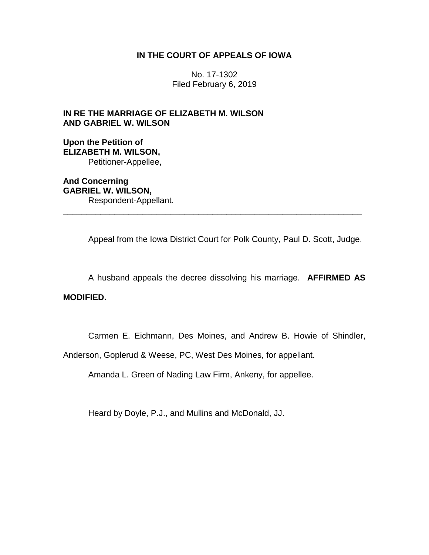### **IN THE COURT OF APPEALS OF IOWA**

No. 17-1302 Filed February 6, 2019

## **IN RE THE MARRIAGE OF ELIZABETH M. WILSON AND GABRIEL W. WILSON**

**Upon the Petition of ELIZABETH M. WILSON,** Petitioner-Appellee,

**And Concerning GABRIEL W. WILSON,** Respondent-Appellant. \_\_\_\_\_\_\_\_\_\_\_\_\_\_\_\_\_\_\_\_\_\_\_\_\_\_\_\_\_\_\_\_\_\_\_\_\_\_\_\_\_\_\_\_\_\_\_\_\_\_\_\_\_\_\_\_\_\_\_\_\_\_\_\_

Appeal from the Iowa District Court for Polk County, Paul D. Scott, Judge.

A husband appeals the decree dissolving his marriage. **AFFIRMED AS** 

### **MODIFIED.**

Carmen E. Eichmann, Des Moines, and Andrew B. Howie of Shindler,

Anderson, Goplerud & Weese, PC, West Des Moines, for appellant.

Amanda L. Green of Nading Law Firm, Ankeny, for appellee.

Heard by Doyle, P.J., and Mullins and McDonald, JJ.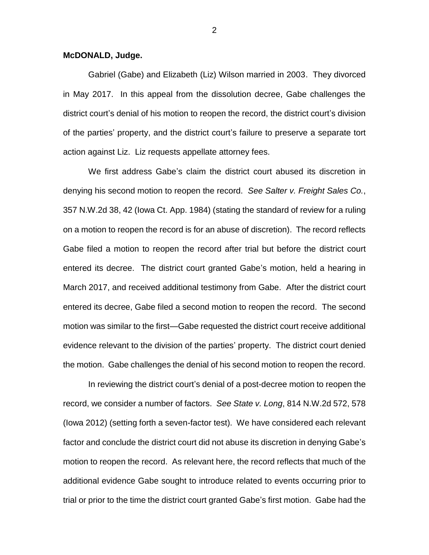#### **McDONALD, Judge.**

Gabriel (Gabe) and Elizabeth (Liz) Wilson married in 2003. They divorced in May 2017. In this appeal from the dissolution decree, Gabe challenges the district court's denial of his motion to reopen the record, the district court's division of the parties' property, and the district court's failure to preserve a separate tort action against Liz. Liz requests appellate attorney fees.

We first address Gabe's claim the district court abused its discretion in denying his second motion to reopen the record. *See Salter v. Freight Sales Co.*, 357 N.W.2d 38, 42 (Iowa Ct. App. 1984) (stating the standard of review for a ruling on a motion to reopen the record is for an abuse of discretion). The record reflects Gabe filed a motion to reopen the record after trial but before the district court entered its decree. The district court granted Gabe's motion, held a hearing in March 2017, and received additional testimony from Gabe. After the district court entered its decree, Gabe filed a second motion to reopen the record. The second motion was similar to the first—Gabe requested the district court receive additional evidence relevant to the division of the parties' property. The district court denied the motion. Gabe challenges the denial of his second motion to reopen the record.

In reviewing the district court's denial of a post-decree motion to reopen the record, we consider a number of factors. *See State v. Long*, 814 N.W.2d 572, 578 (Iowa 2012) (setting forth a seven-factor test). We have considered each relevant factor and conclude the district court did not abuse its discretion in denying Gabe's motion to reopen the record. As relevant here, the record reflects that much of the additional evidence Gabe sought to introduce related to events occurring prior to trial or prior to the time the district court granted Gabe's first motion. Gabe had the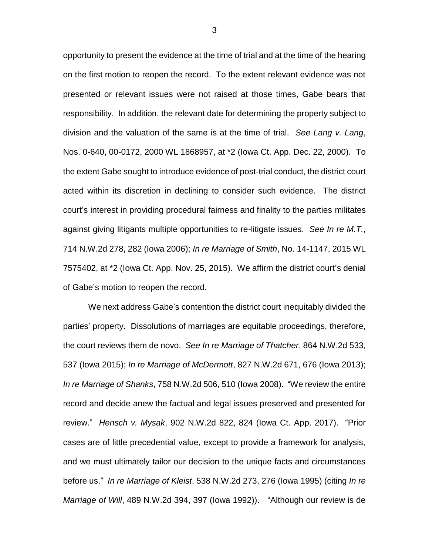opportunity to present the evidence at the time of trial and at the time of the hearing on the first motion to reopen the record. To the extent relevant evidence was not presented or relevant issues were not raised at those times, Gabe bears that responsibility. In addition, the relevant date for determining the property subject to division and the valuation of the same is at the time of trial. *See Lang v. Lang*, Nos. 0-640, 00-0172, 2000 WL 1868957, at \*2 (Iowa Ct. App. Dec. 22, 2000). To the extent Gabe sought to introduce evidence of post-trial conduct, the district court acted within its discretion in declining to consider such evidence. The district court's interest in providing procedural fairness and finality to the parties militates against giving litigants multiple opportunities to re-litigate issues. *See In re M.T.*, 714 N.W.2d 278, 282 (Iowa 2006); *In re Marriage of Smith*, No. 14-1147, 2015 WL 7575402, at \*2 (Iowa Ct. App. Nov. 25, 2015). We affirm the district court's denial of Gabe's motion to reopen the record.

We next address Gabe's contention the district court inequitably divided the parties' property. Dissolutions of marriages are equitable proceedings, therefore, the court reviews them de novo. *See In re Marriage of Thatcher*, 864 N.W.2d 533, 537 (Iowa 2015); *In re Marriage of McDermott*, 827 N.W.2d 671, 676 (Iowa 2013); *In re Marriage of Shanks*, 758 N.W.2d 506, 510 (Iowa 2008). "We review the entire record and decide anew the factual and legal issues preserved and presented for review." *Hensch v. Mysak*, 902 N.W.2d 822, 824 (Iowa Ct. App. 2017). "Prior cases are of little precedential value, except to provide a framework for analysis, and we must ultimately tailor our decision to the unique facts and circumstances before us." *In re Marriage of Kleist*, 538 N.W.2d 273, 276 (Iowa 1995) (citing *In re Marriage of Will*, 489 N.W.2d 394, 397 (Iowa 1992)). "Although our review is de

3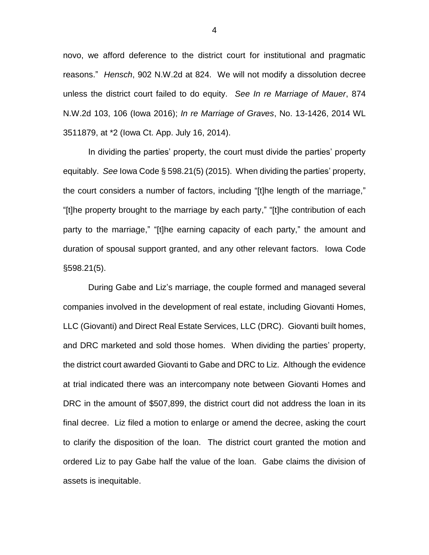novo, we afford deference to the district court for institutional and pragmatic reasons." *Hensch*, 902 N.W.2d at 824.We will not modify a dissolution decree unless the district court failed to do equity. *See In re Marriage of Mauer*, 874 N.W.2d 103, 106 (Iowa 2016); *In re Marriage of Graves*, No. 13-1426, 2014 WL 3511879, at \*2 (Iowa Ct. App. July 16, 2014).

In dividing the parties' property, the court must divide the parties' property equitably. *See* Iowa Code § 598.21(5) (2015). When dividing the parties' property, the court considers a number of factors, including "[t]he length of the marriage," "[t]he property brought to the marriage by each party," "[t]he contribution of each party to the marriage," "[t]he earning capacity of each party," the amount and duration of spousal support granted, and any other relevant factors. Iowa Code §598.21(5).

During Gabe and Liz's marriage, the couple formed and managed several companies involved in the development of real estate, including Giovanti Homes, LLC (Giovanti) and Direct Real Estate Services, LLC (DRC). Giovanti built homes, and DRC marketed and sold those homes. When dividing the parties' property, the district court awarded Giovanti to Gabe and DRC to Liz. Although the evidence at trial indicated there was an intercompany note between Giovanti Homes and DRC in the amount of \$507,899, the district court did not address the loan in its final decree. Liz filed a motion to enlarge or amend the decree, asking the court to clarify the disposition of the loan. The district court granted the motion and ordered Liz to pay Gabe half the value of the loan. Gabe claims the division of assets is inequitable.

4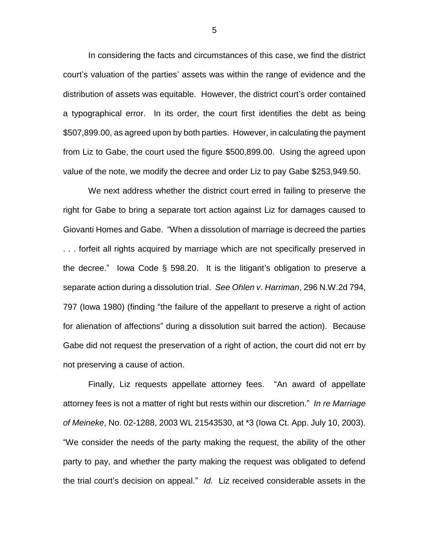In considering the facts and circumstances of this case, we find the district court's valuation of the parties' assets was within the range of evidence and the distribution of assets was equitable. However, the district court's order contained a typographical error. In its order, the court first identifies the debt as being \$507,899.00, as agreed upon by both parties. However, in calculating the payment from Liz to Gabe, the court used the figure \$500,899.00. Using the agreed upon value of the note, we modify the decree and order Liz to pay Gabe \$253,949.50.

We next address whether the district court erred in failing to preserve the right for Gabe to bring a separate tort action against Liz for damages caused to Giovanti Homes and Gabe. "When a dissolution of marriage is decreed the parties . . . forfeit all rights acquired by marriage which are not specifically preserved in the decree." Iowa Code § 598.20. It is the litigant's obligation to preserve a separate action during a dissolution trial. *See Ohlen v. Harriman*, 296 N.W.2d 794, 797 (Iowa 1980) (finding "the failure of the appellant to preserve a right of action for alienation of affections" during a dissolution suit barred the action). Because Gabe did not request the preservation of a right of action, the court did not err by not preserving a cause of action.

Finally, Liz requests appellate attorney fees. "An award of appellate attorney fees is not a matter of right but rests within our discretion." *In re Marriage of Meineke*, No. 02-1288, 2003 WL 21543530, at \*3 (Iowa Ct. App. July 10, 2003). "We consider the needs of the party making the request, the ability of the other party to pay, and whether the party making the request was obligated to defend the trial court's decision on appeal." *Id.* Liz received considerable assets in the

5